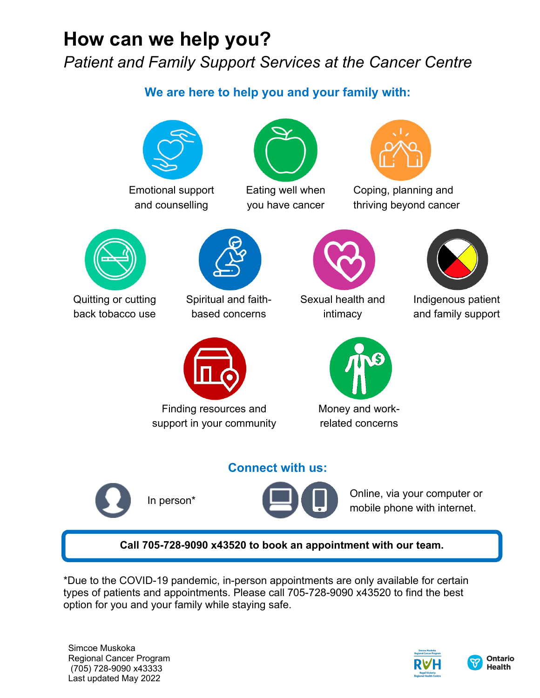## **How can we help you?** *Patient and Family Support Services at the Cancer Centre*

### **We are here to help you and your family with:**



Emotional support and counselling



Eating well when you have cancer



Coping, planning and thriving beyond cancer



Quitting or cutting back tobacco use



Spiritual and faithbased concerns



Finding resources and support in your community



Sexual health and intimacy



Money and workrelated concerns

Indigenous patient and family support







In person\* **Online**, via your computer or mobile phone with internet.

#### **Call 705-728-9090 x43520 to book an appointment with our team.**

\*Due to the COVID-19 pandemic, in-person appointments are only available for certain types of patients and appointments. Please call 705-728-9090 x43520 to find the best option for you and your family while staying safe.

Simcoe Muskoka Regional Cancer Program (705) 728-9090 x43333 Last updated May 2022



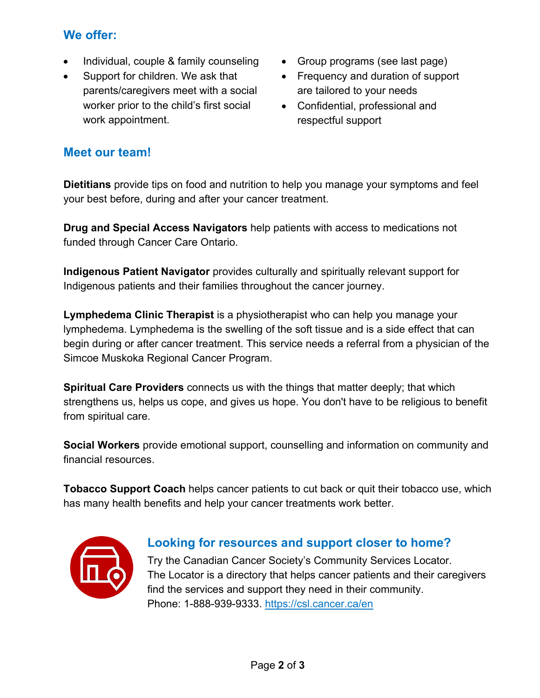#### **We offer:**

- Individual, couple & family counseling
- Support for children. We ask that parents/caregivers meet with a social worker prior to the child's first social work appointment.
- Group programs (see last page)
- Frequency and duration of support are tailored to your needs
- Confidential, professional and respectful support

#### **Meet our team!**

**Dietitians** provide tips on food and nutrition to help you manage your symptoms and feel your best before, during and after your cancer treatment.

**Drug and Special Access Navigators** help patients with access to medications not funded through Cancer Care Ontario.

**Indigenous Patient Navigator** provides culturally and spiritually relevant support for Indigenous patients and their families throughout the cancer journey.

**Lymphedema Clinic Therapist** is a physiotherapist who can help you manage your lymphedema. Lymphedema is the swelling of the soft tissue and is a side effect that can begin during or after cancer treatment. This service needs a referral from a physician of the Simcoe Muskoka Regional Cancer Program.

**Spiritual Care Providers** connects us with the things that matter deeply; that which strengthens us, helps us cope, and gives us hope. You don't have to be religious to benefit from spiritual care.

**Social Workers** provide emotional support, counselling and information on community and financial resources.

**Tobacco Support Coach** helps cancer patients to cut back or quit their tobacco use, which has many health benefits and help your cancer treatments work better.



#### **Looking for resources and support closer to home?**

Try the Canadian Cancer Society's Community Services Locator. The Locator is a directory that helps cancer patients and their caregivers find the services and support they need in their community. Phone: 1-888-939-9333.<https://csl.cancer.ca/en>